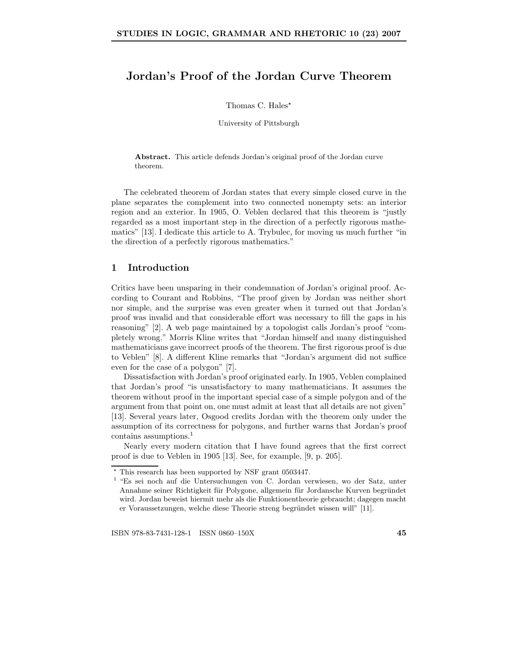# Jordan's Proof of the Jordan Curve Theorem

Thomas C. Hales<sup>\*</sup>

University of Pittsburgh

Abstract. This article defends Jordan's original proof of the Jordan curve theorem.

The celebrated theorem of Jordan states that every simple closed curve in the plane separates the complement into two connected nonempty sets: an interior region and an exterior. In 1905, O. Veblen declared that this theorem is "justly regarded as a most important step in the direction of a perfectly rigorous mathematics" [13]. I dedicate this article to A. Trybulec, for moving us much further "in the direction of a perfectly rigorous mathematics."

## 1 Introduction

Critics have been unsparing in their condemnation of Jordan's original proof. According to Courant and Robbins, "The proof given by Jordan was neither short nor simple, and the surprise was even greater when it turned out that Jordan's proof was invalid and that considerable effort was necessary to fill the gaps in his reasoning" [2]. A web page maintained by a topologist calls Jordan's proof "completely wrong." Morris Kline writes that "Jordan himself and many distinguished mathematicians gave incorrect proofs of the theorem. The first rigorous proof is due to Veblen" [8]. A different Kline remarks that "Jordan's argument did not suffice even for the case of a polygon" [7].

Dissatisfaction with Jordan's proof originated early. In 1905, Veblen complained that Jordan's proof "is unsatisfactory to many mathematicians. It assumes the theorem without proof in the important special case of a simple polygon and of the argument from that point on, one must admit at least that all details are not given" [13]. Several years later, Osgood credits Jordan with the theorem only under the assumption of its correctness for polygons, and further warns that Jordan's proof contains assumptions.<sup>1</sup>

Nearly every modern citation that I have found agrees that the first correct proof is due to Veblen in 1905 [13]. See, for example, [9, p. 205].

<sup>⋆</sup> This research has been supported by NSF grant 0503447.

<sup>1</sup> "Es sei noch auf die Untersuchungen von C. Jordan verwiesen, wo der Satz, unter Annahme seiner Richtigkeit für Polygone, allgemein für Jordansche Kurven begründet wird. Jordan beweist hiermit mehr als die Funktionentheorie gebraucht; dagegen macht er Voraussetzungen, welche diese Theorie streng begründet wissen will" [11].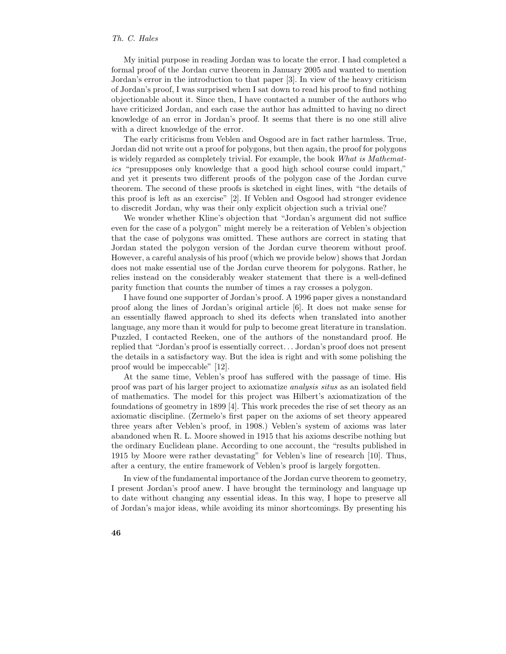My initial purpose in reading Jordan was to locate the error. I had completed a formal proof of the Jordan curve theorem in January 2005 and wanted to mention Jordan's error in the introduction to that paper [3]. In view of the heavy criticism of Jordan's proof, I was surprised when I sat down to read his proof to find nothing objectionable about it. Since then, I have contacted a number of the authors who have criticized Jordan, and each case the author has admitted to having no direct knowledge of an error in Jordan's proof. It seems that there is no one still alive with a direct knowledge of the error.

The early criticisms from Veblen and Osgood are in fact rather harmless. True, Jordan did not write out a proof for polygons, but then again, the proof for polygons is widely regarded as completely trivial. For example, the book What is Mathematics "presupposes only knowledge that a good high school course could impart," and yet it presents two different proofs of the polygon case of the Jordan curve theorem. The second of these proofs is sketched in eight lines, with "the details of this proof is left as an exercise" [2]. If Veblen and Osgood had stronger evidence to discredit Jordan, why was their only explicit objection such a trivial one?

We wonder whether Kline's objection that "Jordan's argument did not suffice even for the case of a polygon" might merely be a reiteration of Veblen's objection that the case of polygons was omitted. These authors are correct in stating that Jordan stated the polygon version of the Jordan curve theorem without proof. However, a careful analysis of his proof (which we provide below) shows that Jordan does not make essential use of the Jordan curve theorem for polygons. Rather, he relies instead on the considerably weaker statement that there is a well-defined parity function that counts the number of times a ray crosses a polygon.

I have found one supporter of Jordan's proof. A 1996 paper gives a nonstandard proof along the lines of Jordan's original article [6]. It does not make sense for an essentially flawed approach to shed its defects when translated into another language, any more than it would for pulp to become great literature in translation. Puzzled, I contacted Reeken, one of the authors of the nonstandard proof. He replied that "Jordan's proof is essentially correct. . . Jordan's proof does not present the details in a satisfactory way. But the idea is right and with some polishing the proof would be impeccable" [12].

At the same time, Veblen's proof has suffered with the passage of time. His proof was part of his larger project to axiomatize analysis situs as an isolated field of mathematics. The model for this project was Hilbert's axiomatization of the foundations of geometry in 1899 [4]. This work precedes the rise of set theory as an axiomatic discipline. (Zermelo's first paper on the axioms of set theory appeared three years after Veblen's proof, in 1908.) Veblen's system of axioms was later abandoned when R. L. Moore showed in 1915 that his axioms describe nothing but the ordinary Euclidean plane. According to one account, the "results published in 1915 by Moore were rather devastating" for Veblen's line of research [10]. Thus, after a century, the entire framework of Veblen's proof is largely forgotten.

In view of the fundamental importance of the Jordan curve theorem to geometry, I present Jordan's proof anew. I have brought the terminology and language up to date without changing any essential ideas. In this way, I hope to preserve all of Jordan's major ideas, while avoiding its minor shortcomings. By presenting his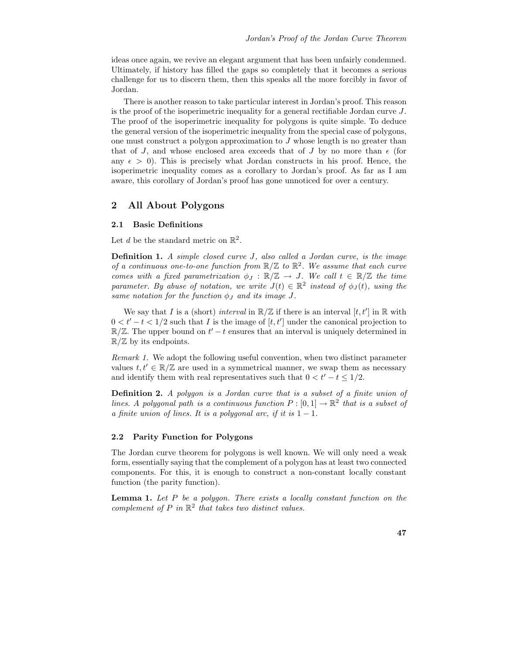ideas once again, we revive an elegant argument that has been unfairly condemned. Ultimately, if history has filled the gaps so completely that it becomes a serious challenge for us to discern them, then this speaks all the more forcibly in favor of Jordan.

There is another reason to take particular interest in Jordan's proof. This reason is the proof of the isoperimetric inequality for a general rectifiable Jordan curve  $J$ . The proof of the isoperimetric inequality for polygons is quite simple. To deduce the general version of the isoperimetric inequality from the special case of polygons, one must construct a polygon approximation to J whose length is no greater than that of J, and whose enclosed area exceeds that of J by no more than  $\epsilon$  (for any  $\epsilon > 0$ ). This is precisely what Jordan constructs in his proof. Hence, the isoperimetric inequality comes as a corollary to Jordan's proof. As far as I am aware, this corollary of Jordan's proof has gone unnoticed for over a century.

### 2 All About Polygons

#### 2.1 Basic Definitions

Let d be the standard metric on  $\mathbb{R}^2$ .

**Definition 1.** A simple closed curve J, also called a Jordan curve, is the image of a continuous one-to-one function from  $\mathbb{R}/\mathbb{Z}$  to  $\mathbb{R}^2$ . We assume that each curve comes with a fixed parametrization  $\phi_J : \mathbb{R}/\mathbb{Z} \to J$ . We call  $t \in \mathbb{R}/\mathbb{Z}$  the time parameter. By abuse of notation, we write  $J(t) \in \mathbb{R}^2$  instead of  $\phi_J(t)$ , using the same notation for the function  $\phi_J$  and its image J.

We say that I is a (short) interval in  $\mathbb{R}/\mathbb{Z}$  if there is an interval  $[t, t']$  in  $\mathbb{R}$  with  $0 < t' - t < 1/2$  such that I is the image of  $[t, t']$  under the canonical projection to  $\mathbb{R}/\mathbb{Z}$ . The upper bound on  $t'-t$  ensures that an interval is uniquely determined in  $\mathbb{R}/\mathbb{Z}$  by its endpoints.

Remark 1. We adopt the following useful convention, when two distinct parameter values  $t, t' \in \mathbb{R}/\mathbb{Z}$  are used in a symmetrical manner, we swap them as necessary and identify them with real representatives such that  $0 < t' - t \leq 1/2$ .

Definition 2. A polygon is a Jordan curve that is a subset of a finite union of lines. A polygonal path is a continuous function  $P: [0,1] \to \mathbb{R}^2$  that is a subset of a finite union of lines. It is a polygonal arc, if it is  $1 - 1$ .

#### 2.2 Parity Function for Polygons

The Jordan curve theorem for polygons is well known. We will only need a weak form, essentially saying that the complement of a polygon has at least two connected components. For this, it is enough to construct a non-constant locally constant function (the parity function).

**Lemma 1.** Let  $P$  be a polygon. There exists a locally constant function on the complement of  $P$  in  $\mathbb{R}^2$  that takes two distinct values.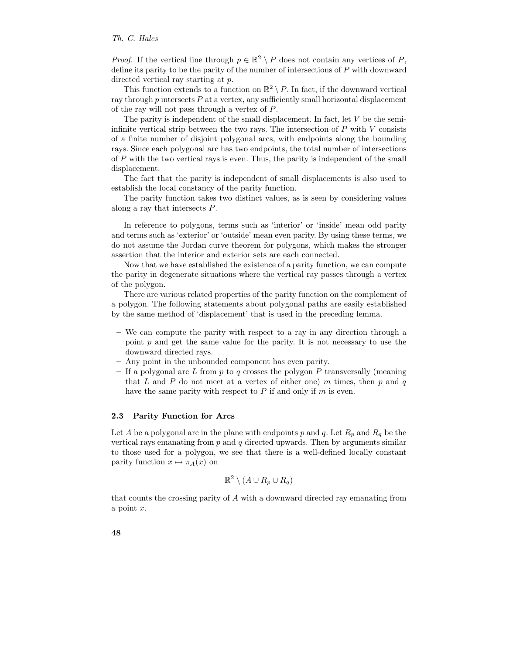*Proof.* If the vertical line through  $p \in \mathbb{R}^2 \setminus P$  does not contain any vertices of P, define its parity to be the parity of the number of intersections of P with downward directed vertical ray starting at p.

This function extends to a function on  $\mathbb{R}^2 \setminus P$ . In fact, if the downward vertical ray through  $p$  intersects  $P$  at a vertex, any sufficiently small horizontal displacement of the ray will not pass through a vertex of P.

The parity is independent of the small displacement. In fact, let V be the semiinfinite vertical strip between the two rays. The intersection of  $P$  with  $V$  consists of a finite number of disjoint polygonal arcs, with endpoints along the bounding rays. Since each polygonal arc has two endpoints, the total number of intersections of P with the two vertical rays is even. Thus, the parity is independent of the small displacement.

The fact that the parity is independent of small displacements is also used to establish the local constancy of the parity function.

The parity function takes two distinct values, as is seen by considering values along a ray that intersects P.

In reference to polygons, terms such as 'interior' or 'inside' mean odd parity and terms such as 'exterior' or 'outside' mean even parity. By using these terms, we do not assume the Jordan curve theorem for polygons, which makes the stronger assertion that the interior and exterior sets are each connected.

Now that we have established the existence of a parity function, we can compute the parity in degenerate situations where the vertical ray passes through a vertex of the polygon.

There are various related properties of the parity function on the complement of a polygon. The following statements about polygonal paths are easily established by the same method of 'displacement' that is used in the preceding lemma.

- We can compute the parity with respect to a ray in any direction through a point  $p$  and get the same value for the parity. It is not necessary to use the downward directed rays.
- Any point in the unbounded component has even parity.
- If a polygonal arc  $L$  from  $p$  to  $q$  crosses the polygon  $P$  transversally (meaning that L and P do not meet at a vertex of either one) m times, then  $p$  and  $q$ have the same parity with respect to  $P$  if and only if  $m$  is even.

#### 2.3 Parity Function for Arcs

Let A be a polygonal arc in the plane with endpoints p and q. Let  $R_p$  and  $R_q$  be the vertical rays emanating from  $p$  and  $q$  directed upwards. Then by arguments similar to those used for a polygon, we see that there is a well-defined locally constant parity function  $x \mapsto \pi_A(x)$  on

$$
\mathbb{R}^2 \setminus (A \cup R_p \cup R_q)
$$

that counts the crossing parity of A with a downward directed ray emanating from a point x.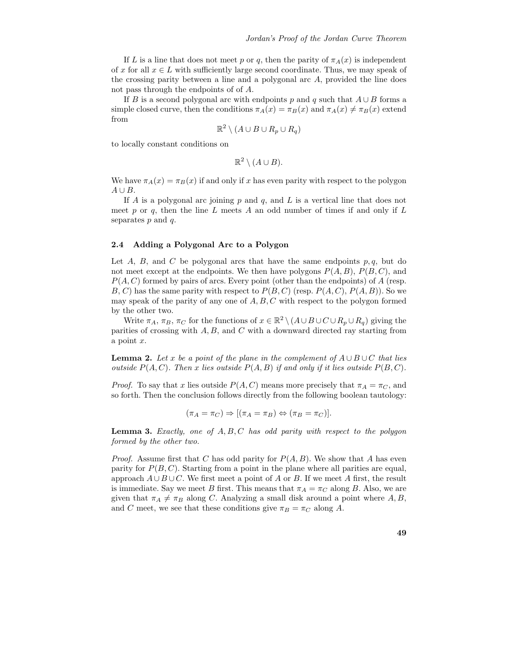If L is a line that does not meet p or q, then the parity of  $\pi_A(x)$  is independent of x for all  $x \in L$  with sufficiently large second coordinate. Thus, we may speak of the crossing parity between a line and a polygonal arc  $A$ , provided the line does not pass through the endpoints of of A.

If B is a second polygonal arc with endpoints p and q such that  $A \cup B$  forms a simple closed curve, then the conditions  $\pi_A(x) = \pi_B(x)$  and  $\pi_A(x) \neq \pi_B(x)$  extend from

$$
\mathbb{R}^2 \setminus (A \cup B \cup R_p \cup R_q)
$$

to locally constant conditions on

 $\mathbb{R}^2 \setminus (A \cup B).$ 

We have  $\pi_A(x) = \pi_B(x)$  if and only if x has even parity with respect to the polygon  $A \cup B$ .

If A is a polygonal arc joining  $p$  and  $q$ , and  $L$  is a vertical line that does not meet p or q, then the line L meets A an odd number of times if and only if L separates  $p$  and  $q$ .

### 2.4 Adding a Polygonal Arc to a Polygon

Let A, B, and C be polygonal arcs that have the same endpoints  $p, q$ , but do not meet except at the endpoints. We then have polygons  $P(A, B)$ ,  $P(B, C)$ , and  $P(A, C)$  formed by pairs of arcs. Every point (other than the endpoints) of A (resp. B, C) has the same parity with respect to  $P(B, C)$  (resp.  $P(A, C), P(A, B)$ ). So we may speak of the parity of any one of  $A, B, C$  with respect to the polygon formed by the other two.

Write  $\pi_A$ ,  $\pi_B$ ,  $\pi_C$  for the functions of  $x \in \mathbb{R}^2 \setminus (A \cup B \cup C \cup R_p \cup R_q)$  giving the parities of crossing with  $A, B$ , and  $C$  with a downward directed ray starting from a point x.

**Lemma 2.** Let x be a point of the plane in the complement of  $A \cup B \cup C$  that lies outside  $P(A, C)$ . Then x lies outside  $P(A, B)$  if and only if it lies outside  $P(B, C)$ .

*Proof.* To say that x lies outside  $P(A, C)$  means more precisely that  $\pi_A = \pi_C$ , and so forth. Then the conclusion follows directly from the following boolean tautology:

$$
(\pi_A = \pi_C) \Rightarrow [(\pi_A = \pi_B) \Leftrightarrow (\pi_B = \pi_C)].
$$

**Lemma 3.** Exactly, one of  $A, B, C$  has odd parity with respect to the polygon formed by the other two.

*Proof.* Assume first that C has odd parity for  $P(A, B)$ . We show that A has even parity for  $P(B, C)$ . Starting from a point in the plane where all parities are equal, approach  $A \cup B \cup C$ . We first meet a point of A or B. If we meet A first, the result is immediate. Say we meet B first. This means that  $\pi_A = \pi_C$  along B. Also, we are given that  $\pi_A \neq \pi_B$  along C. Analyzing a small disk around a point where  $A, B$ , and C meet, we see that these conditions give  $\pi_B = \pi_C$  along A.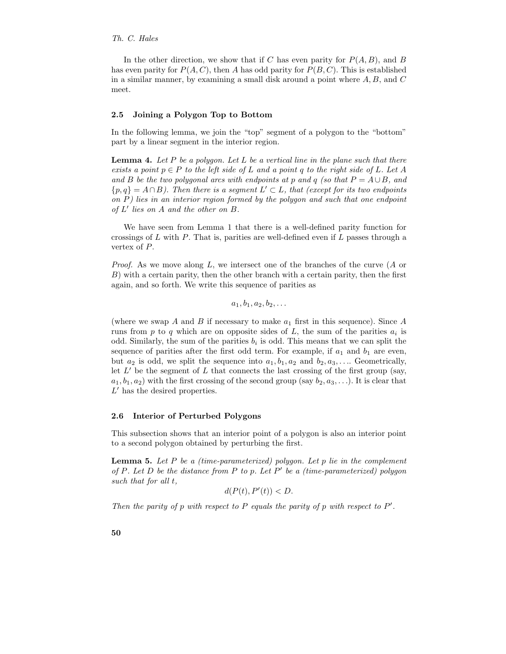In the other direction, we show that if C has even parity for  $P(A, B)$ , and B has even parity for  $P(A, C)$ , then A has odd parity for  $P(B, C)$ . This is established in a similar manner, by examining a small disk around a point where  $A, B$ , and  $C$ meet.

#### 2.5 Joining a Polygon Top to Bottom

In the following lemma, we join the "top" segment of a polygon to the "bottom" part by a linear segment in the interior region.

**Lemma 4.** Let P be a polygon. Let L be a vertical line in the plane such that there exists a point  $p \in P$  to the left side of L and a point q to the right side of L. Let A and B be the two polygonal arcs with endpoints at p and q (so that  $P = A \cup B$ , and  ${p, q} = A \cap B$ ). Then there is a segment  $L' \subset L$ , that (except for its two endpoints on  $P$ ) lies in an interior region formed by the polygon and such that one endpoint of L ′ lies on A and the other on B.

We have seen from Lemma 1 that there is a well-defined parity function for crossings of L with P. That is, parities are well-defined even if L passes through a vertex of P.

*Proof.* As we move along  $L$ , we intersect one of the branches of the curve  $(A \text{ or } B)$ B) with a certain parity, then the other branch with a certain parity, then the first again, and so forth. We write this sequence of parities as

 $a_1, b_1, a_2, b_2, \ldots$ 

(where we swap A and B if necessary to make  $a_1$  first in this sequence). Since A runs from  $p$  to  $q$  which are on opposite sides of  $L$ , the sum of the parities  $a_i$  is odd. Similarly, the sum of the parities  $b_i$  is odd. This means that we can split the sequence of parities after the first odd term. For example, if  $a_1$  and  $b_1$  are even, but  $a_2$  is odd, we split the sequence into  $a_1, b_1, a_2$  and  $b_2, a_3, \ldots$ . Geometrically, let  $L'$  be the segment of  $L$  that connects the last crossing of the first group (say,  $a_1, b_1, a_2$ ) with the first crossing of the second group (say  $b_2, a_3, \ldots$ ). It is clear that  $L'$  has the desired properties.

#### 2.6 Interior of Perturbed Polygons

This subsection shows that an interior point of a polygon is also an interior point to a second polygon obtained by perturbing the first.

**Lemma 5.** Let  $P$  be a (time-parameterized) polygon. Let  $p$  lie in the complement of  $P$ . Let  $D$  be the distance from  $P$  to  $p$ . Let  $P'$  be a (time-parameterized) polygon such that for all t,

$$
d(P(t), P'(t)) < D.
$$

Then the parity of p with respect to  $P$  equals the parity of p with respect to  $P'$ .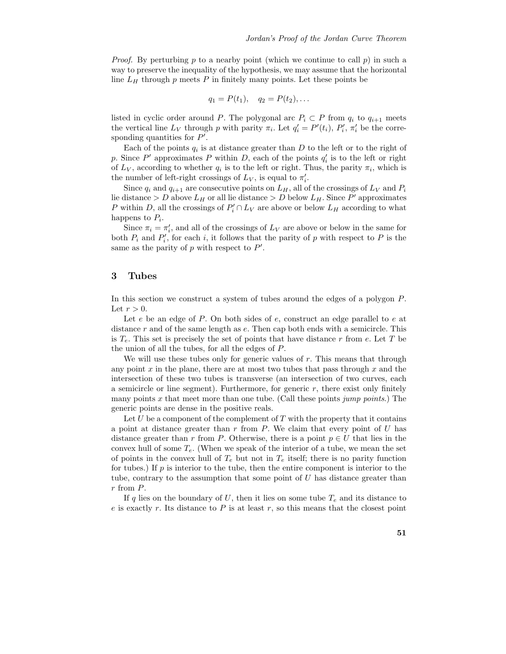*Proof.* By perturbing p to a nearby point (which we continue to call p) in such a way to preserve the inequality of the hypothesis, we may assume that the horizontal line  $L_H$  through p meets P in finitely many points. Let these points be

$$
q_1 = P(t_1), \quad q_2 = P(t_2), \ldots
$$

listed in cyclic order around P. The polygonal arc  $P_i \subset P$  from  $q_i$  to  $q_{i+1}$  meets the vertical line  $L_V$  through p with parity  $\pi_i$ . Let  $q'_i = P'(t_i)$ ,  $P'_i$ ,  $\pi'_i$  be the corresponding quantities for  $P'$ .

Each of the points  $q_i$  is at distance greater than D to the left or to the right of p. Since P' approximates P within D, each of the points  $q_i'$  is to the left or right of  $L_V$ , according to whether  $q_i$  is to the left or right. Thus, the parity  $\pi_i$ , which is the number of left-right crossings of  $L_V$ , is equal to  $\pi'_i$ .

Since  $q_i$  and  $q_{i+1}$  are consecutive points on  $L_H$ , all of the crossings of  $L_V$  and  $P_i$ lie distance  $> D$  above  $L_H$  or all lie distance  $> D$  below  $L_H$ . Since  $P'$  approximates P within D, all the crossings of  $P'_i \cap L_V$  are above or below  $L_H$  according to what happens to  $P_i$ .

Since  $\pi_i = \pi'_i$ , and all of the crossings of  $L_V$  are above or below in the same for both  $P_i$  and  $P'_i$ , for each i, it follows that the parity of p with respect to P is the same as the parity of  $p$  with respect to  $P'$ .

### 3 Tubes

In this section we construct a system of tubes around the edges of a polygon P. Let  $r > 0$ .

Let  $e$  be an edge of  $P$ . On both sides of  $e$ , construct an edge parallel to  $e$  at distance r and of the same length as  $e$ . Then cap both ends with a semicircle. This is  $T_e$ . This set is precisely the set of points that have distance r from e. Let T be the union of all the tubes, for all the edges of P.

We will use these tubes only for generic values of r. This means that through any point  $x$  in the plane, there are at most two tubes that pass through  $x$  and the intersection of these two tubes is transverse (an intersection of two curves, each a semicircle or line segment). Furthermore, for generic  $r$ , there exist only finitely many points x that meet more than one tube. (Call these points jump points.) The generic points are dense in the positive reals.

Let U be a component of the complement of  $T$  with the property that it contains a point at distance greater than  $r$  from  $P$ . We claim that every point of  $U$  has distance greater than r from P. Otherwise, there is a point  $p \in U$  that lies in the convex hull of some  $T_e$ . (When we speak of the interior of a tube, we mean the set of points in the convex hull of  $T_e$  but not in  $T_e$  itself; there is no parity function for tubes.) If  $p$  is interior to the tube, then the entire component is interior to the tube, contrary to the assumption that some point of  $U$  has distance greater than r from P.

If q lies on the boundary of U, then it lies on some tube  $T_e$  and its distance to  $e$  is exactly r. Its distance to  $P$  is at least r, so this means that the closest point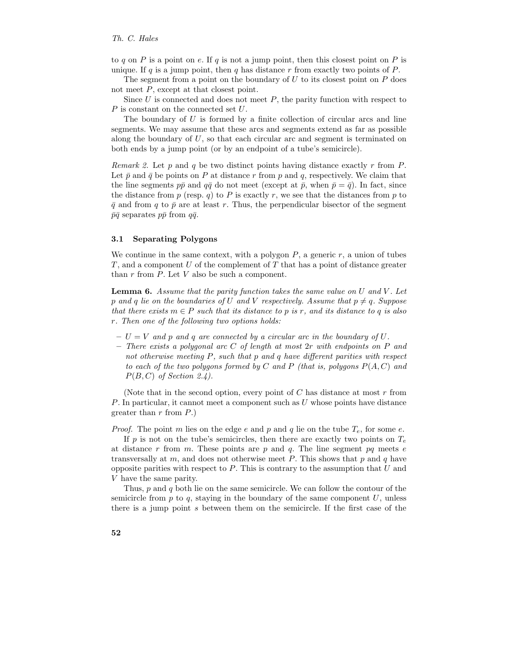to q on P is a point on e. If q is not a jump point, then this closest point on P is unique. If q is a jump point, then q has distance r from exactly two points of  $P$ .

The segment from a point on the boundary of  $U$  to its closest point on  $P$  does not meet P, except at that closest point.

Since  $U$  is connected and does not meet  $P$ , the parity function with respect to P is constant on the connected set U.

The boundary of U is formed by a finite collection of circular arcs and line segments. We may assume that these arcs and segments extend as far as possible along the boundary of  $U$ , so that each circular arc and segment is terminated on both ends by a jump point (or by an endpoint of a tube's semicircle).

*Remark 2.* Let p and q be two distinct points having distance exactly r from P. Let  $\bar{p}$  and  $\bar{q}$  be points on P at distance r from p and q, respectively. We claim that the line segments  $p\bar{p}$  and  $q\bar{q}$  do not meet (except at  $\bar{p}$ , when  $\bar{p} = \bar{q}$ ). In fact, since the distance from  $p$  (resp.  $q$ ) to  $P$  is exactly  $r$ , we see that the distances from  $p$  to  $\bar{q}$  and from q to  $\bar{p}$  are at least r. Thus, the perpendicular bisector of the segment  $\bar{p}\bar{q}$  separates  $p\bar{p}$  from  $q\bar{q}$ .

#### 3.1 Separating Polygons

We continue in the same context, with a polygon  $P$ , a generic  $r$ , a union of tubes T, and a component U of the complement of T that has a point of distance greater than  $r$  from  $P$ . Let  $V$  also be such a component.

**Lemma 6.** Assume that the parity function takes the same value on  $U$  and  $V$ . Let p and q lie on the boundaries of U and V respectively. Assume that  $p \neq q$ . Suppose that there exists  $m \in P$  such that its distance to p is r, and its distance to q is also r. Then one of the following two options holds:

- $U = V$  and p and q are connected by a circular arc in the boundary of U.
- $-$  There exists a polygonal arc C of length at most  $2r$  with endpoints on P and not otherwise meeting P, such that p and q have different parities with respect to each of the two polygons formed by C and P (that is, polygons  $P(A, C)$  and  $P(B, C)$  of Section 2.4).

(Note that in the second option, every point of  $C$  has distance at most  $r$  from P. In particular, it cannot meet a component such as U whose points have distance greater than  $r$  from  $P$ .)

*Proof.* The point m lies on the edge e and p and q lie on the tube  $T_e$ , for some e.

If p is not on the tube's semicircles, then there are exactly two points on  $T_e$ at distance r from m. These points are p and q. The line segment pq meets  $e$ transversally at  $m$ , and does not otherwise meet  $P$ . This shows that  $p$  and  $q$  have opposite parities with respect to  $P$ . This is contrary to the assumption that  $U$  and V have the same parity.

Thus, p and q both lie on the same semicircle. We can follow the contour of the semicircle from  $p$  to  $q$ , staying in the boundary of the same component  $U$ , unless there is a jump point s between them on the semicircle. If the first case of the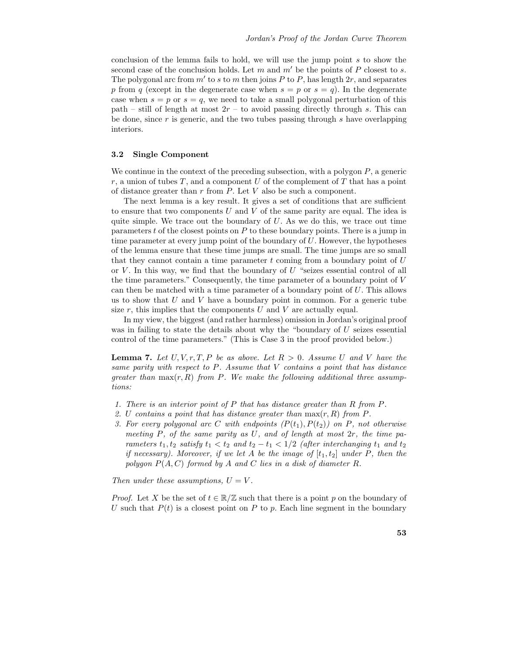conclusion of the lemma fails to hold, we will use the jump point s to show the second case of the conclusion holds. Let m and  $m'$  be the points of P closest to s. The polygonal arc from  $m'$  to s to m then joins P to P, has length  $2r$ , and separates p from q (except in the degenerate case when  $s = p$  or  $s = q$ ). In the degenerate case when  $s = p$  or  $s = q$ , we need to take a small polygonal perturbation of this path – still of length at most  $2r$  – to avoid passing directly through s. This can be done, since r is generic, and the two tubes passing through s have overlapping interiors.

### 3.2 Single Component

We continue in the context of the preceding subsection, with a polygon  $P$ , a generic r, a union of tubes  $T$ , and a component  $U$  of the complement of  $T$  that has a point of distance greater than  $r$  from  $P$ . Let  $V$  also be such a component.

The next lemma is a key result. It gives a set of conditions that are sufficient to ensure that two components U and V of the same parity are equal. The idea is quite simple. We trace out the boundary of  $U$ . As we do this, we trace out time parameters  $t$  of the closest points on  $P$  to these boundary points. There is a jump in time parameter at every jump point of the boundary of  $U$ . However, the hypotheses of the lemma ensure that these time jumps are small. The time jumps are so small that they cannot contain a time parameter  $t$  coming from a boundary point of  $U$ or  $V$ . In this way, we find that the boundary of  $U$  "seizes essential control of all the time parameters." Consequently, the time parameter of a boundary point of V can then be matched with a time parameter of a boundary point of U. This allows us to show that  $U$  and  $V$  have a boundary point in common. For a generic tube size  $r$ , this implies that the components  $U$  and  $V$  are actually equal.

In my view, the biggest (and rather harmless) omission in Jordan's original proof was in failing to state the details about why the "boundary of  $U$  seizes essential control of the time parameters." (This is Case 3 in the proof provided below.)

**Lemma 7.** Let  $U, V, r, T, P$  be as above. Let  $R > 0$ . Assume U and V have the same parity with respect to P. Assume that V contains a point that has distance greater than  $\max(r, R)$  from P. We make the following additional three assumptions:

- 1. There is an interior point of P that has distance greater than R from P.
- 2. U contains a point that has distance greater than  $\max(r, R)$  from P.
- 3. For every polygonal arc C with endpoints  $(P(t_1), P(t_2))$  on P, not otherwise meeting  $P$ , of the same parity as  $U$ , and of length at most  $2r$ , the time parameters  $t_1, t_2$  satisfy  $t_1 < t_2$  and  $t_2 - t_1 < 1/2$  (after interchanging  $t_1$  and  $t_2$ if necessary). Moreover, if we let A be the image of  $[t_1, t_2]$  under P, then the polygon  $P(A, C)$  formed by A and C lies in a disk of diameter R.

Then under these assumptions,  $U = V$ .

*Proof.* Let X be the set of  $t \in \mathbb{R}/\mathbb{Z}$  such that there is a point p on the boundary of U such that  $P(t)$  is a closest point on P to p. Each line segment in the boundary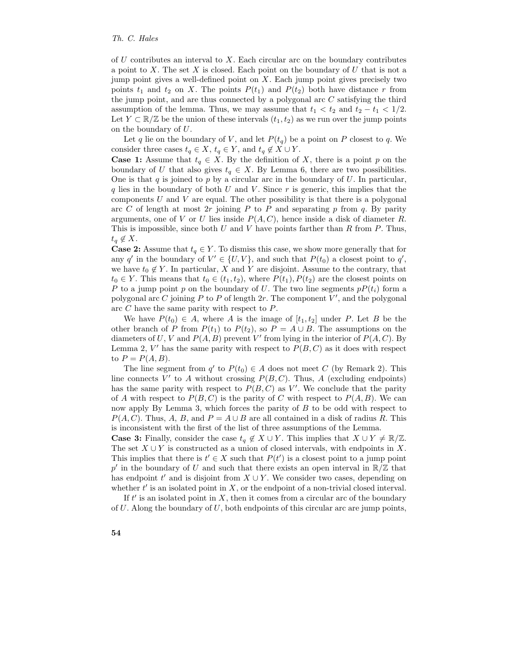of  $U$  contributes an interval to  $X$ . Each circular arc on the boundary contributes a point to X. The set X is closed. Each point on the boundary of  $U$  that is not a jump point gives a well-defined point on X. Each jump point gives precisely two points  $t_1$  and  $t_2$  on X. The points  $P(t_1)$  and  $P(t_2)$  both have distance r from the jump point, and are thus connected by a polygonal arc  $C$  satisfying the third assumption of the lemma. Thus, we may assume that  $t_1 < t_2$  and  $t_2 - t_1 < 1/2$ . Let  $Y \subset \mathbb{R}/\mathbb{Z}$  be the union of these intervals  $(t_1, t_2)$  as we run over the jump points on the boundary of U.

Let q lie on the boundary of V, and let  $P(t_q)$  be a point on P closest to q. We consider three cases  $t_q \in X$ ,  $t_q \in Y$ , and  $t_q \notin X \cup Y$ .

**Case 1:** Assume that  $t_q \in X$ . By the definition of X, there is a point p on the boundary of U that also gives  $t_q \in X$ . By Lemma 6, there are two possibilities. One is that q is joined to p by a circular arc in the boundary of U. In particular, q lies in the boundary of both U and V. Since  $r$  is generic, this implies that the components  $U$  and  $V$  are equal. The other possibility is that there is a polygonal arc C of length at most  $2r$  joining P to P and separating p from q. By parity arguments, one of V or U lies inside  $P(A, C)$ , hence inside a disk of diameter R. This is impossible, since both U and V have points farther than R from  $P$ . Thus,  $t_q \notin X$ .

**Case 2:** Assume that  $t_q \in Y$ . To dismiss this case, we show more generally that for any q' in the boundary of  $V' \in \{U, V\}$ , and such that  $P(t_0)$  a closest point to q', we have  $t_0 \notin Y$ . In particular, X and Y are disjoint. Assume to the contrary, that  $t_0 \in Y$ . This means that  $t_0 \in (t_1, t_2)$ , where  $P(t_1), P(t_2)$  are the closest points on P to a jump point p on the boundary of U. The two line segments  $pP(t_i)$  form a polygonal arc C joining P to P of length 2r. The component  $\widetilde{V}'$ , and the polygonal arc C have the same parity with respect to P.

We have  $P(t_0) \in A$ , where A is the image of  $[t_1, t_2]$  under P. Let B be the other branch of P from  $P(t_1)$  to  $P(t_2)$ , so  $P = A \cup B$ . The assumptions on the diameters of U, V and  $P(A, B)$  prevent V' from lying in the interior of  $P(A, C)$ . By Lemma 2, V' has the same parity with respect to  $P(B, C)$  as it does with respect to  $P = P(A, B)$ .

The line segment from  $q'$  to  $P(t_0) \in A$  does not meet C (by Remark 2). This line connects  $V'$  to A without crossing  $P(B, C)$ . Thus, A (excluding endpoints) has the same parity with respect to  $P(B, C)$  as V'. We conclude that the parity of A with respect to  $P(B, C)$  is the parity of C with respect to  $P(A, B)$ . We can now apply By Lemma 3, which forces the parity of  $B$  to be odd with respect to  $P(A, C)$ . Thus, A, B, and  $P = A \cup B$  are all contained in a disk of radius R. This is inconsistent with the first of the list of three assumptions of the Lemma.

**Case 3:** Finally, consider the case  $t_q \notin X \cup Y$ . This implies that  $X \cup Y \neq \mathbb{R}/\mathbb{Z}$ . The set  $X \cup Y$  is constructed as a union of closed intervals, with endpoints in X. This implies that there is  $t' \in X$  such that  $P(t')$  is a closest point to a jump point p' in the boundary of U and such that there exists an open interval in  $\mathbb{R}/\mathbb{Z}$  that has endpoint  $t'$  and is disjoint from  $X \cup Y$ . We consider two cases, depending on whether  $t'$  is an isolated point in  $X$ , or the endpoint of a non-trivial closed interval.

If  $t'$  is an isolated point in  $X$ , then it comes from a circular arc of the boundary of  $U$ . Along the boundary of  $U$ , both endpoints of this circular arc are jump points,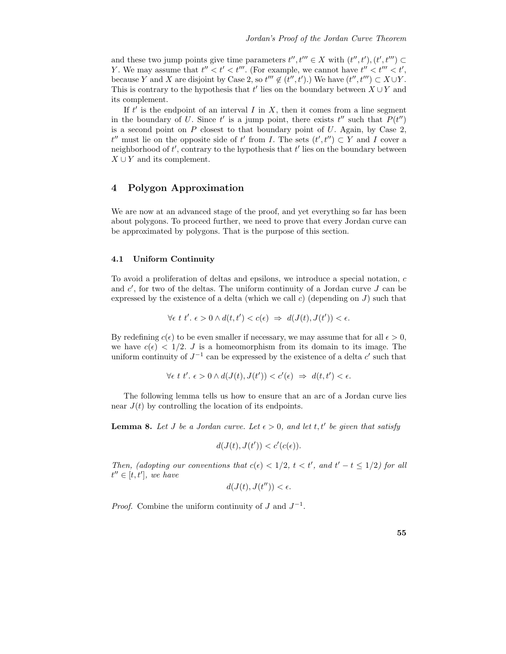and these two jump points give time parameters  $t'', t''' \in X$  with  $(t'', t'), (t', t''') \subset$ Y. We may assume that  $t'' < t' < t'''$ . (For example, we cannot have  $t'' < t''' < t'$ , because Y and X are disjoint by Case 2, so  $t'' \notin (t'', t')$ .) We have  $(t'', t''') \subset X \cup Y$ . This is contrary to the hypothesis that  $t'$  lies on the boundary between  $\hat{X} \cup Y$  and its complement.

If  $t'$  is the endpoint of an interval  $I$  in  $X$ , then it comes from a line segment in the boundary of U. Since t' is a jump point, there exists  $t''$  such that  $P(t'')$ is a second point on  $P$  closest to that boundary point of  $U$ . Again, by Case 2, t'' must lie on the opposite side of t' from I. The sets  $(t', t'') \subset Y$  and I cover a neighborhood of  $t'$ , contrary to the hypothesis that  $t'$  lies on the boundary between  $X \cup Y$  and its complement.

## 4 Polygon Approximation

We are now at an advanced stage of the proof, and yet everything so far has been about polygons. To proceed further, we need to prove that every Jordan curve can be approximated by polygons. That is the purpose of this section.

### 4.1 Uniform Continuity

To avoid a proliferation of deltas and epsilons, we introduce a special notation, c and  $c'$ , for two of the deltas. The uniform continuity of a Jordan curve  $J$  can be expressed by the existence of a delta (which we call c) (depending on  $J$ ) such that

$$
\forall \epsilon \ t \ t'. \ \epsilon > 0 \land d(t, t') < c(\epsilon) \ \Rightarrow \ d(J(t), J(t')) < \epsilon.
$$

By redefining  $c(\epsilon)$  to be even smaller if necessary, we may assume that for all  $\epsilon > 0$ , we have  $c(\epsilon) < 1/2$ . J is a homeomorphism from its domain to its image. The uniform continuity of  $J^{-1}$  can be expressed by the existence of a delta c' such that

$$
\forall \epsilon \ t \ t'. \ \epsilon > 0 \wedge d(J(t),J(t')) < c'(\epsilon) \ \Rightarrow \ d(t,t') < \epsilon.
$$

The following lemma tells us how to ensure that an arc of a Jordan curve lies near  $J(t)$  by controlling the location of its endpoints.

**Lemma 8.** Let J be a Jordan curve. Let  $\epsilon > 0$ , and let t, t' be given that satisfy

$$
d(J(t), J(t')) < c'(c(\epsilon)).
$$

Then, (adopting our conventions that  $c(\epsilon) < 1/2$ ,  $t < t'$ , and  $t' - t \leq 1/2$ ) for all  $t'' \in [t, t']$ , we have

$$
d(J(t), J(t'')) < \epsilon.
$$

*Proof.* Combine the uniform continuity of  $J$  and  $J^{-1}$ .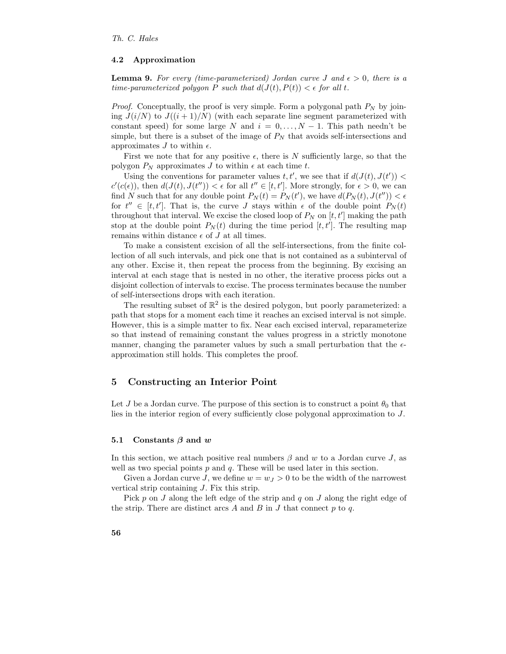#### 4.2 Approximation

**Lemma 9.** For every (time-parameterized) Jordan curve J and  $\epsilon > 0$ , there is a time-parameterized polygon P such that  $d(J(t), P(t)) < \epsilon$  for all t.

*Proof.* Conceptually, the proof is very simple. Form a polygonal path  $P_N$  by joining  $J(i/N)$  to  $J((i+1)/N)$  (with each separate line segment parameterized with constant speed) for some large N and  $i = 0, \ldots, N-1$ . This path needn't be simple, but there is a subset of the image of  $P<sub>N</sub>$  that avoids self-intersections and approximates J to within  $\epsilon$ .

First we note that for any positive  $\epsilon$ , there is N sufficiently large, so that the polygon  $P_N$  approximates J to within  $\epsilon$  at each time t.

Using the conventions for parameter values  $t, t'$ , we see that if  $d(J(t), J(t')) <$  $c'(c(\epsilon))$ , then  $d(J(t), J(t'')) < \epsilon$  for all  $t'' \in [t, t']$ . More strongly, for  $\epsilon > 0$ , we can find N such that for any double point  $P_N(t) = P_N(t')$ , we have  $d(P_N(t), J(t'')) < \epsilon$ for  $t'' \in [t, t']$ . That is, the curve J stays within  $\epsilon$  of the double point  $P_N(t)$ throughout that interval. We excise the closed loop of  $P_N$  on  $[t, t']$  making the path stop at the double point  $P_N(t)$  during the time period  $[t, t']$ . The resulting map remains within distance  $\epsilon$  of  $J$  at all times.

To make a consistent excision of all the self-intersections, from the finite collection of all such intervals, and pick one that is not contained as a subinterval of any other. Excise it, then repeat the process from the beginning. By excising an interval at each stage that is nested in no other, the iterative process picks out a disjoint collection of intervals to excise. The process terminates because the number of self-intersections drops with each iteration.

The resulting subset of  $\mathbb{R}^2$  is the desired polygon, but poorly parameterized: a path that stops for a moment each time it reaches an excised interval is not simple. However, this is a simple matter to fix. Near each excised interval, reparameterize so that instead of remaining constant the values progress in a strictly monotone manner, changing the parameter values by such a small perturbation that the  $\epsilon$ approximation still holds. This completes the proof.

### 5 Constructing an Interior Point

Let J be a Jordan curve. The purpose of this section is to construct a point  $\theta_0$  that lies in the interior region of every sufficiently close polygonal approximation to J.

#### 5.1 Constants  $\beta$  and w

In this section, we attach positive real numbers  $\beta$  and w to a Jordan curve J, as well as two special points  $p$  and  $q$ . These will be used later in this section.

Given a Jordan curve J, we define  $w = w_I > 0$  to be the width of the narrowest vertical strip containing J. Fix this strip.

Pick p on J along the left edge of the strip and q on J along the right edge of the strip. There are distinct arcs  $A$  and  $B$  in  $J$  that connect  $p$  to  $q$ .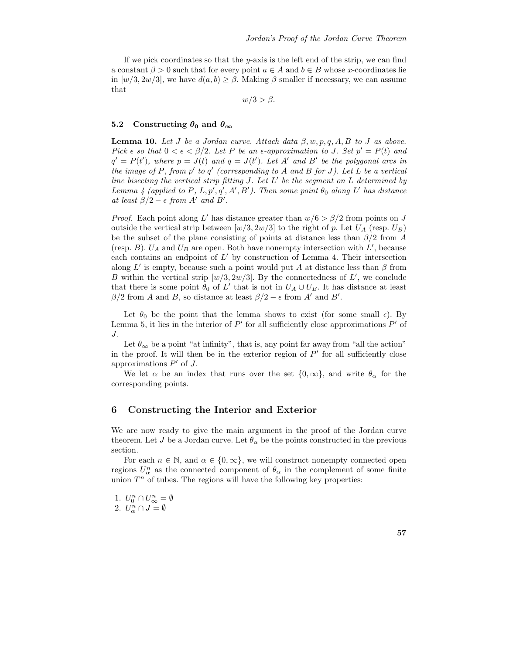If we pick coordinates so that the  $y$ -axis is the left end of the strip, we can find a constant  $\beta > 0$  such that for every point  $a \in A$  and  $b \in B$  whose x-coordinates lie in  $[w/3, 2w/3]$ , we have  $d(a, b) \geq \beta$ . Making  $\beta$  smaller if necessary, we can assume that

 $w/3 > \beta$ .

### 5.2 Constructing  $\theta_0$  and  $\theta_\infty$

**Lemma 10.** Let J be a Jordan curve. Attach data  $\beta$ , w, p, q, A, B to J as above. Pick  $\epsilon$  so that  $0 < \epsilon < \beta/2$ . Let P be an  $\epsilon$ -approximation to J. Set  $p' = P(t)$  and  $q' = P(t')$ , where  $p = J(t)$  and  $q = J(t')$ . Let A' and B' be the polygonal arcs in the image of P, from p' to q' (corresponding to A and B for J). Let  $L$  be a vertical line bisecting the vertical strip fitting  $J$ . Let  $L'$  be the segment on  $L$  determined by Lemma 4 (applied to P, L, p', q', A', B'). Then some point  $\theta_0$  along L' has distance at least  $\beta/2 - \epsilon$  from A' and B'.

*Proof.* Each point along L' has distance greater than  $w/6 > \beta/2$  from points on J outside the vertical strip between  $[w/3, 2w/3]$  to the right of p. Let  $U_A$  (resp.  $U_B$ ) be the subset of the plane consisting of points at distance less than  $\beta/2$  from A (resp. B).  $U_A$  and  $U_B$  are open. Both have nonempty intersection with  $L'$ , because each contains an endpoint of  $L'$  by construction of Lemma 4. Their intersection along L' is empty, because such a point would put A at distance less than  $\beta$  from B within the vertical strip  $[w/3, 2w/3]$ . By the connectedness of L', we conclude that there is some point  $\hat{\theta}_0$  of L' that is not in  $U_A \cup U_B$ . It has distance at least  $\beta/2$  from A and B, so distance at least  $\beta/2 - \epsilon$  from A' and B'.

Let  $\theta_0$  be the point that the lemma shows to exist (for some small  $\epsilon$ ). By Lemma 5, it lies in the interior of  $P'$  for all sufficiently close approximations  $P'$  of J.

Let  $\theta_{\infty}$  be a point "at infinity", that is, any point far away from "all the action" in the proof. It will then be in the exterior region of  $P'$  for all sufficiently close approximations  $P'$  of J.

We let  $\alpha$  be an index that runs over the set  $\{0,\infty\}$ , and write  $\theta_{\alpha}$  for the corresponding points.

### 6 Constructing the Interior and Exterior

We are now ready to give the main argument in the proof of the Jordan curve theorem. Let J be a Jordan curve. Let  $\theta_{\alpha}$  be the points constructed in the previous section.

For each  $n \in \mathbb{N}$ , and  $\alpha \in \{0, \infty\}$ , we will construct nonempty connected open regions  $U_{\alpha}^{n}$  as the connected component of  $\theta_{\alpha}$  in the complement of some finite union  $T<sup>n</sup>$  of tubes. The regions will have the following key properties:

1.  $U_0^n \cap U_\infty^n = \emptyset$ 2.  $U_{\alpha}^n \cap J = \emptyset$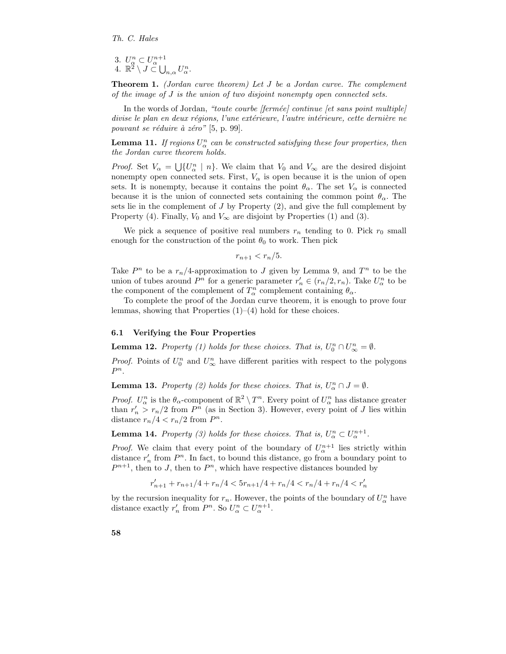3.  $U_{\alpha}^{n} \subset U_{\alpha}^{n+1}$ <br>4.  $\mathbb{R}^{2} \setminus J \subset \bigcup_{n,\alpha} U_{\alpha}^{n}$ .

Theorem 1. (Jordan curve theorem) Let J be a Jordan curve. The complement of the image of J is the union of two disjoint nonempty open connected sets.

In the words of Jordan, "toute courbe  $[ferm\acute{e}e]$  continue  $[et \; sans \; point \; multiple]$ divise le plan en deux régions, l'une extérieure, l'autre intérieure, cette dernière ne pouvant se réduire à zéro"  $[5, p. 99]$ .

**Lemma 11.** If regions  $U_{\alpha}^n$  can be constructed satisfying these four properties, then the Jordan curve theorem holds.

*Proof.* Set  $V_{\alpha} = \bigcup \{U_{\alpha}^{n} \mid n\}$ . We claim that  $V_{0}$  and  $V_{\infty}$  are the desired disjoint nonempty open connected sets. First,  $V_{\alpha}$  is open because it is the union of open sets. It is nonempty, because it contains the point  $\theta_{\alpha}$ . The set  $V_{\alpha}$  is connected because it is the union of connected sets containing the common point  $\theta_{\alpha}$ . The sets lie in the complement of  $J$  by Property  $(2)$ , and give the full complement by Property (4). Finally,  $V_0$  and  $V_\infty$  are disjoint by Properties (1) and (3).

We pick a sequence of positive real numbers  $r_n$  tending to 0. Pick  $r_0$  small enough for the construction of the point  $\theta_0$  to work. Then pick

 $r_{n+1} < r_n/5$ .

Take  $P^n$  to be a  $r_n/4$ -approximation to J given by Lemma 9, and  $T^n$  to be the union of tubes around  $P^n$  for a generic parameter  $r'_n \in (r_n/2, r_n)$ . Take  $U_\alpha^n$  to be the component of the complement of  $T_\alpha^n$  complement containing  $\theta_\alpha$ .

To complete the proof of the Jordan curve theorem, it is enough to prove four lemmas, showing that Properties  $(1)$ – $(4)$  hold for these choices.

### 6.1 Verifying the Four Properties

**Lemma 12.** Property (1) holds for these choices. That is,  $U_0^n \cap U_\infty^n = \emptyset$ .

*Proof.* Points of  $U_0^n$  and  $U_\infty^n$  have different parities with respect to the polygons  $P^n$ .

**Lemma 13.** Property (2) holds for these choices. That is,  $U_{\alpha}^{n} \cap J = \emptyset$ .

*Proof.*  $U_{\alpha}^{n}$  is the  $\theta_{\alpha}$ -component of  $\mathbb{R}^{2} \setminus T^{n}$ . Every point of  $U_{\alpha}^{n}$  has distance greater than  $r'_n > r_n/2$  from  $P^n$  (as in Section 3). However, every point of J lies within distance  $r_n/4 < r_n/2$  from  $P^n$ .

**Lemma 14.** Property (3) holds for these choices. That is,  $U_{\alpha}^{n} \subset U_{\alpha}^{n+1}$ .

*Proof.* We claim that every point of the boundary of  $U_{\alpha}^{n+1}$  lies strictly within distance  $r'_n$  from  $P^n$ . In fact, to bound this distance, go from a boundary point to  $P^{n+1}$ , then to  $I$ , then to  $P^n$ , which have respective distances bounded by

 $r'_{n+1} + r_{n+1}/4 + r_n/4 < 5r_{n+1}/4 + r_n/4 < r_n/4 + r_n/4 < r'_n$ 

by the recursion inequality for  $r_n$ . However, the points of the boundary of  $U_\alpha^n$  have distance exactly  $r'_n$  from  $P^n$ . So  $U^n_\alpha \subset U^{n+1}_\alpha$ .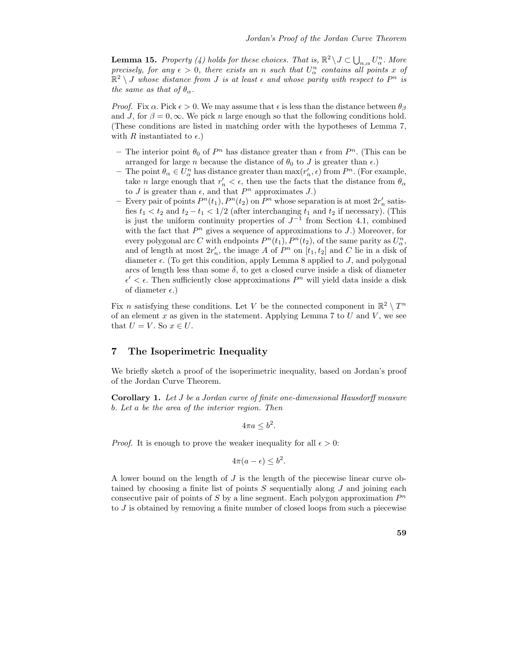**Lemma 15.** Property (4) holds for these choices. That is,  $\mathbb{R}^2 \setminus J \subset \bigcup_{n,\alpha} U_\alpha^n$ . More precisely, for any  $\epsilon > 0$ , there exists an n such that  $U_{\alpha}^{n}$  contains all points x of  $\mathbb{R}^2 \setminus J$  whose distance from J is at least  $\epsilon$  and whose parity with respect to  $P^n$  is the same as that of  $\theta_{\alpha}$ .

*Proof.* Fix  $\alpha$ . Pick  $\epsilon > 0$ . We may assume that  $\epsilon$  is less than the distance between  $\theta_{\beta}$ and J, for  $\beta = 0$ ,  $\infty$ . We pick n large enough so that the following conditions hold. (These conditions are listed in matching order with the hypotheses of Lemma 7, with R instantiated to  $\epsilon$ .)

- The interior point  $\theta_0$  of  $P^n$  has distance greater than  $\epsilon$  from  $P^n$ . (This can be arranged for large n because the distance of  $\theta_0$  to J is greater than  $\epsilon$ .)
- The point  $\theta_{\alpha} \in \overline{U_{\alpha}^n}$  has distance greater than  $\max(r'_n, \epsilon)$  from  $P^n$ . (For example, take *n* large enough that  $r'_n < \epsilon$ , then use the facts that the distance from  $\theta_\alpha$ to J is greater than  $\epsilon$ , and that  $P^n$  approximates J.)
- Every pair of points  $P^n(t_1)$ ,  $P^n(t_2)$  on  $P^n$  whose separation is at most  $2r'_n$  satisfies  $t_1 < t_2$  and  $t_2 - t_1 < 1/2$  (after interchanging  $t_1$  and  $t_2$  if necessary). (This is just the uniform continuity properties of  $J^{-1}$  from Section 4.1, combined with the fact that  $P<sup>n</sup>$  gives a sequence of approximations to  $J$ .) Moreover, for every polygonal arc C with endpoints  $P^n(t_1), P^n(t_2)$ , of the same parity as  $U_{\alpha}^n$ , and of length at most  $2r'_n$ , the image A of  $P^n$  on  $[t_1, t_2]$  and C lie in a disk of diameter  $\epsilon$ . (To get this condition, apply Lemma 8 applied to J, and polygonal arcs of length less than some  $\delta$ , to get a closed curve inside a disk of diameter  $\epsilon' < \epsilon$ . Then sufficiently close approximations  $P<sup>n</sup>$  will yield data inside a disk of diameter  $\epsilon$ .)

Fix n satisfying these conditions. Let V be the connected component in  $\mathbb{R}^2 \setminus T^n$ of an element x as given in the statement. Applying Lemma 7 to  $U$  and  $V$ , we see that  $U = V$ . So  $x \in U$ .

## 7 The Isoperimetric Inequality

We briefly sketch a proof of the isoperimetric inequality, based on Jordan's proof of the Jordan Curve Theorem.

Corollary 1. Let J be a Jordan curve of finite one-dimensional Hausdorff measure b. Let a be the area of the interior region. Then

$$
4\pi a \leq b^2.
$$

*Proof.* It is enough to prove the weaker inequality for all  $\epsilon > 0$ :

$$
4\pi(a-\epsilon) \le b^2.
$$

A lower bound on the length of J is the length of the piecewise linear curve obtained by choosing a finite list of points  $S$  sequentially along  $J$  and joining each consecutive pair of points of S by a line segment. Each polygon approximation  $P^n$ to  $J$  is obtained by removing a finite number of closed loops from such a piecewise